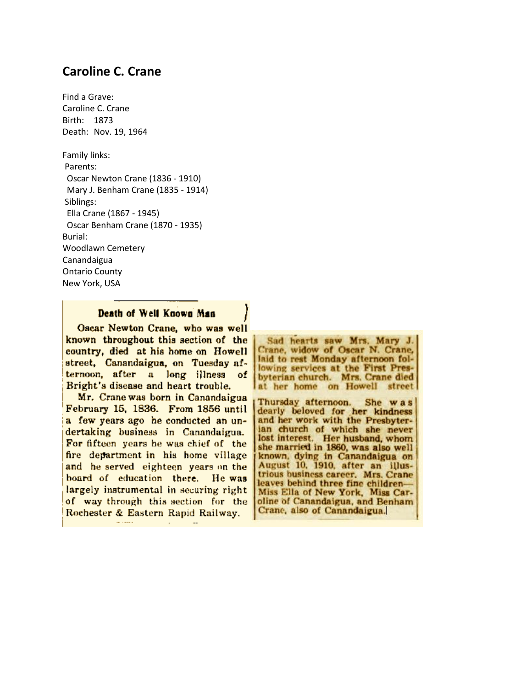## **Caroline C. Crane**

Find a Grave: Caroline C. Crane Birth: 1873 Death: Nov. 19, 1964

Family links: Parents: Oscar Newton Crane (1836 - 1910) Mary J. Benham Crane (1835 - 1914) Siblings: Ella Crane (1867 - 1945) Oscar Benham Crane (1870 - 1935) Burial: Woodlawn Cemetery Canandaigua Ontario County New York, USA

## Death of Well Known Man

Oscar Newton Crane, who was well known throughout this section of the country, died at his home on Howell street, Canandaigua, on Tuesday afternoon, after a long illness of Bright's disease and heart trouble.

Mr. Crane was born in Canandaigua February 15, 1836. From 1856 until a few years ago he conducted an undertaking business in Canandaigua. For fifteen years he was chief of the fire department in his home village and he served eighteen years on the board of education there. He was largely instrumental in securing right of way through this section for the Rochester & Eastern Rapid Railway.

Sad hearts saw Mrs. Mary J. Crane, widow of Oscar N. Crane, laid to rest Monday afternoon following services at the First Presbyterian church. Mrs. Crane died at her home on Howell street

Thursday afternoon. She was dearly beloved for her kindness<br>and her work with the Presbyterian church of which she never lost interest. Her husband, whom she married in 1860, was also well known, dying in Canandaigua on August 10, 1910, after an illustrious business career. Mrs. Crane leaves behind three fine children-Miss Ella of New York, Miss Caroline of Canandaigua, and Benham Crane, also of Canandaigua.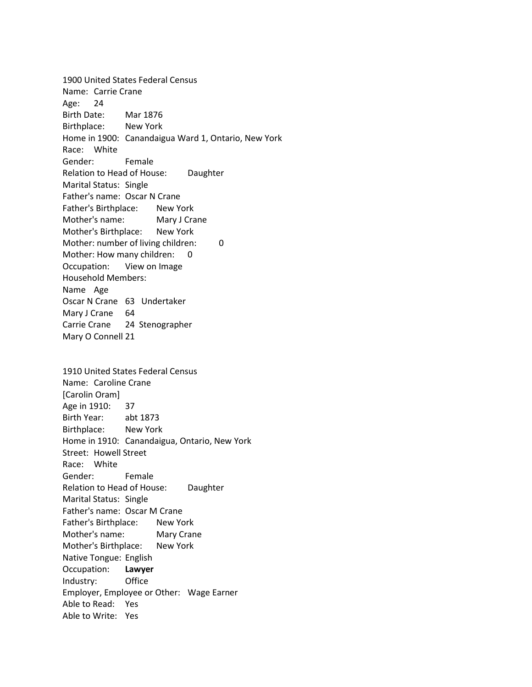1900 United States Federal Census Name: Carrie Crane Age: 24 Birth Date: Mar 1876 Birthplace: New York Home in 1900: Canandaigua Ward 1, Ontario, New York Race: White Gender: Female Relation to Head of House: Daughter Marital Status: Single Father's name: Oscar N Crane Father's Birthplace: New York Mother's name: Mary J Crane Mother's Birthplace: New York Mother: number of living children: 0 Mother: How many children: 0 Occupation: View on Image Household Members: Name Age Oscar N Crane 63 Undertaker Mary J Crane 64 Carrie Crane 24 Stenographer Mary O Connell 21 1910 United States Federal Census Name: Caroline Crane [Carolin Oram] Age in 1910: 37 Birth Year: abt 1873 Birthplace: New York Home in 1910: Canandaigua, Ontario, New York Street: Howell Street Race: White Gender: Female Relation to Head of House: Daughter Marital Status: Single Father's name: Oscar M Crane Father's Birthplace: New York Mother's name: Mary Crane Mother's Birthplace: New York Native Tongue: English Occupation: **Lawyer** Industry: Office Employer, Employee or Other: Wage Earner Able to Read: Yes Able to Write: Yes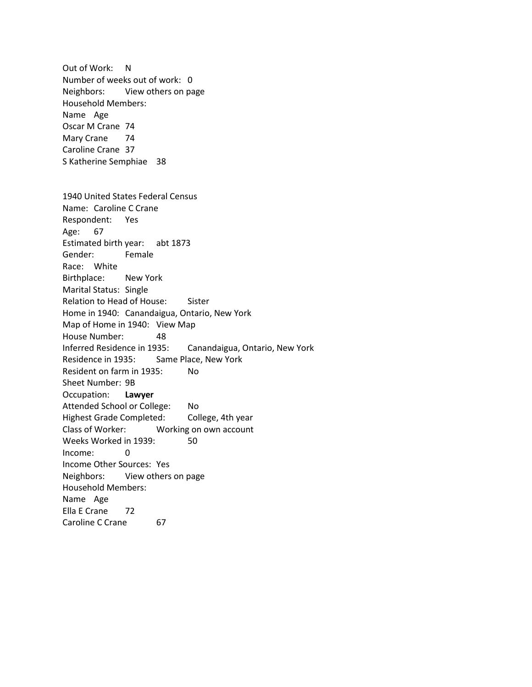Out of Work: N Number of weeks out of work: 0 Neighbors: View others on page Household Members: Name Age Oscar M Crane 74 Mary Crane 74 Caroline Crane 37 S Katherine Semphiae 38 1940 United States Federal Census Name: Caroline C Crane Respondent: Yes Age: 67 Estimated birth year: abt 1873 Gender: Female Race: White Birthplace: New York Marital Status: Single Relation to Head of House: Sister Home in 1940: Canandaigua, Ontario, New York Map of Home in 1940: View Map House Number: 48 Inferred Residence in 1935: Canandaigua, Ontario, New York Residence in 1935: Same Place, New York Resident on farm in 1935: No Sheet Number: 9B Occupation: **Lawyer** Attended School or College: No Highest Grade Completed: College, 4th year Class of Worker: Working on own account Weeks Worked in 1939: 50 Income: 0 Income Other Sources: Yes Neighbors: View others on page Household Members: Name Age Ella E Crane 72 Caroline C Crane 67